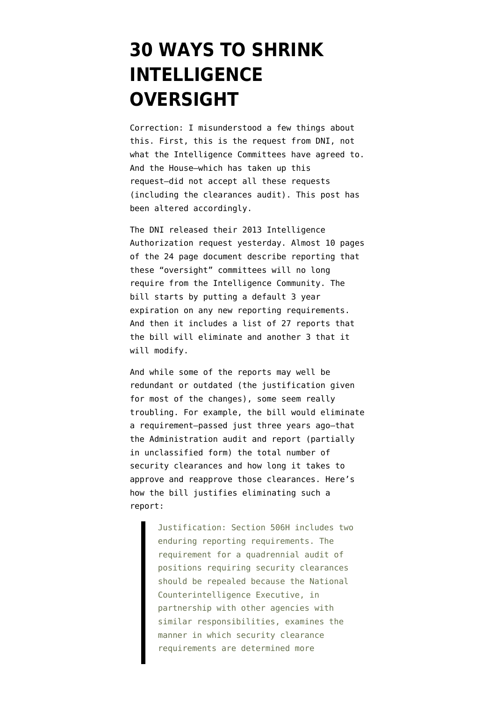## **[30 WAYS TO SHRINK](https://www.emptywheel.net/2012/06/07/30-ways-to-intelligence-shrink-oversight/) [INTELLIGENCE](https://www.emptywheel.net/2012/06/07/30-ways-to-intelligence-shrink-oversight/) [OVERSIGHT](https://www.emptywheel.net/2012/06/07/30-ways-to-intelligence-shrink-oversight/)**

Correction: I misunderstood a few things about this. First, this is the request from DNI, not what the Intelligence Committees have agreed to. And the House–which has taken up this request–did not accept all these requests (including the clearances audit). This post has been altered accordingly.

The DNI released their [2013 Intelligence](http://www.emptywheel.net/wp-content/uploads/2012/06/intelauthactfy13.pdf) [Authorization](http://www.emptywheel.net/wp-content/uploads/2012/06/intelauthactfy13.pdf) request yesterday. Almost 10 pages of the 24 page document describe reporting that these "oversight" committees will no long require from the Intelligence Community. The bill starts by putting a default 3 year expiration on any new reporting requirements. And then it includes a list of 27 reports that the bill will eliminate and another 3 that it will modify.

And while some of the reports may well be redundant or outdated (the justification given for most of the changes), some seem really troubling. For example, the bill would eliminate a requirement[–passed just three years ago–](http://www.gpo.gov/fdsys/pkg/PLAW-111publ259/html/PLAW-111publ259.htm)that the Administration audit and report (partially in unclassified form) the total number of security clearances and how long it takes to approve and reapprove those clearances. Here's how the bill justifies eliminating such a report:

> Justification: Section 506H includes two enduring reporting requirements. The requirement for a quadrennial audit of positions requiring security clearances should be repealed because the National Counterintelligence Executive, in partnership with other agencies with similar responsibilities, examines the manner in which security clearance requirements are determined more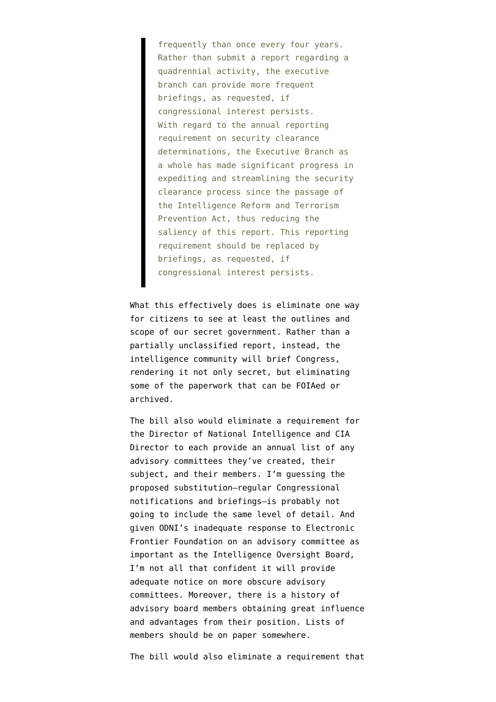frequently than once every four years. Rather than submit a report regarding a quadrennial activity, the executive branch can provide more frequent briefings, as requested, if congressional interest persists. With regard to the annual reporting requirement on security clearance determinations, the Executive Branch as a whole has made significant progress in expediting and streamlining the security clearance process since the passage of the Intelligence Reform and Terrorism Prevention Act, thus reducing the saliency of this report. This reporting requirement should be replaced by briefings, as requested, if congressional interest persists.

What this effectively does is eliminate one way for citizens to see at least the outlines and scope of our secret government. Rather than a partially unclassified report, instead, the intelligence community will brief Congress, rendering it not only secret, but eliminating some of the paperwork that can be FOIAed or archived.

The bill also would eliminate a requirement for the Director of National Intelligence and CIA Director to each provide an annual list of any advisory committees they've created, their subject, and their members. I'm guessing the proposed substitution–regular Congressional notifications and briefings–is probably not going to include the same level of detail. And given [ODNI's inadequate response](http://www.emptywheel.net/2011/11/11/odnis-response-on-intelligence-oversight-board-shows-lack-of-intelligence/) to Electronic Frontier Foundation on an advisory committee as important as the Intelligence Oversight Board, I'm not all that confident it will provide adequate notice on more obscure advisory committees. Moreover, there is a history of advisory board members obtaining great influence and advantages from their position. Lists of members should be on paper somewhere.

The bill would also eliminate a requirement that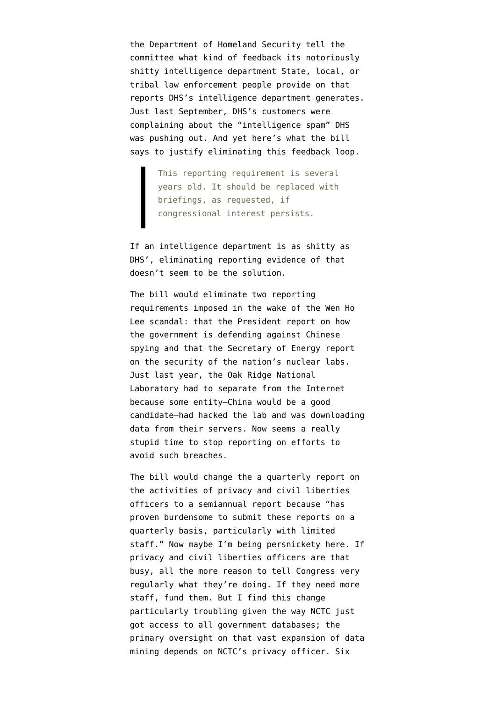the Department of Homeland Security tell the committee what kind of feedback its notoriously shitty intelligence department State, local, or tribal law enforcement people provide on that reports DHS's intelligence department generates. Just last September, DHS's customers [were](http://americaswarwithin.org/articles/2011/09/05/homeland-security-office-creates-intelligence-spam-insiders-claim) [complaining](http://americaswarwithin.org/articles/2011/09/05/homeland-security-office-creates-intelligence-spam-insiders-claim) about the "intelligence spam" DHS was pushing out. And yet here's what the bill says to justify eliminating this feedback loop.

> This reporting requirement is several years old. It should be replaced with briefings, as requested, if congressional interest persists.

If an intelligence department is as shitty as DHS', eliminating reporting evidence of that doesn't seem to be the solution.

The bill would eliminate two reporting requirements [imposed](http://www.gpo.gov/fdsys/pkg/PLAW-106publ65/html/PLAW-106publ65.htm) in the wake of the Wen Ho Lee scandal: that the President report on how the government is defending against Chinese spying and that the Secretary of Energy report on the security of the nation's nuclear labs. Just last year, the Oak Ridge National Laboratory had to separate from the Internet because some entity–China would be a good candidate–[had hacked the lab](http://www.wired.com/threatlevel/2011/04/oak-ridge-lab-hack/) and was downloading data from their servers. Now seems a really stupid time to stop reporting on efforts to avoid such breaches.

The bill would change the a quarterly report on the activities of privacy and civil liberties officers to a semiannual report because "has proven burdensome to submit these reports on a quarterly basis, particularly with limited staff." Now maybe I'm being persnickety here. If privacy and civil liberties officers are that busy, all the more reason to tell Congress very regularly what they're doing. If they need more staff, fund them. But I find this change particularly troubling given the way NCTC just got access to all government databases; the [primary oversight on that vast expansion of data](http://www.emptywheel.net/2012/03/23/the-oversight-over-nctcs-not-terrorist-terrorist-database/) [mining](http://www.emptywheel.net/2012/03/23/the-oversight-over-nctcs-not-terrorist-terrorist-database/) depends on NCTC's privacy officer. Six